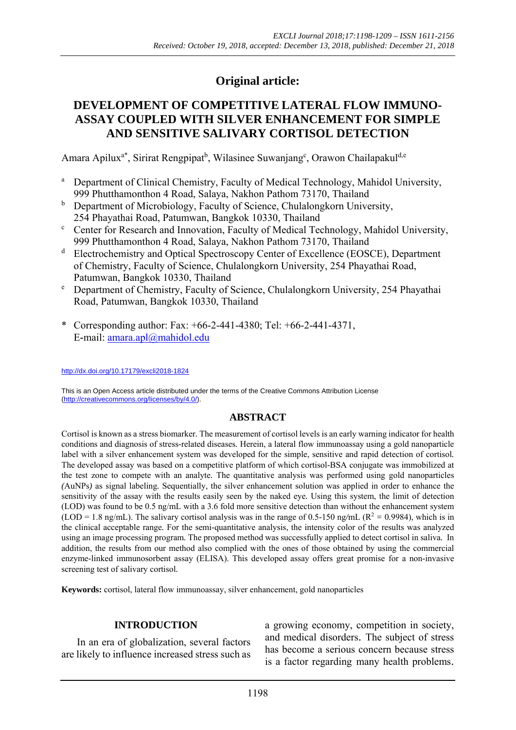# **Original article:**

# **DEVELOPMENT OF COMPETITIVE LATERAL FLOW IMMUNO-ASSAY COUPLED WITH SILVER ENHANCEMENT FOR SIMPLE AND SENSITIVE SALIVARY CORTISOL DETECTION**

Amara Apilux<sup>a\*</sup>, Sirirat Rengpipat<sup>b</sup>, Wilasinee Suwanjang<sup>c</sup>, Orawon Chailapakul<sup>d,e</sup>

- <sup>a</sup> Department of Clinical Chemistry, Faculty of Medical Technology, Mahidol University, 999 Phutthamonthon 4 Road, Salaya, Nakhon Pathom 73170, Thailand
- <sup>b</sup> Department of Microbiology, Faculty of Science, Chulalongkorn University,
- 254 Phayathai Road, Patumwan, Bangkok 10330, Thailand c Center for Research and Innovation, Faculty of Medical Technology, Mahidol University, 999 Phutthamonthon 4 Road, Salaya, Nakhon Pathom 73170, Thailand
- d Electrochemistry and Optical Spectroscopy Center of Excellence (EOSCE), Department of Chemistry, Faculty of Science, Chulalongkorn University, 254 Phayathai Road, Patumwan, Bangkok 10330, Thailand
- Department of Chemistry, Faculty of Science, Chulalongkorn University, 254 Phayathai Road, Patumwan, Bangkok 10330, Thailand
- \* Corresponding author: Fax: +66-2-441-4380; Tel: +66-2-441-4371, E**-**mail: amara.apl@mahidol.edu

http://dx.doi.org/10.17179/excli2018-1824

This is an Open Access article distributed under the terms of the Creative Commons Attribution License (http://creativecommons.org/licenses/by/4.0/).

# **ABSTRACT**

Cortisol is known as a stress biomarker*.* The measurement of cortisol levels is an early warning indicator for health conditions and diagnosis of stress*-*related diseases*.* Herein, a lateral flow immunoassay using a gold nanoparticle label with a silver enhancement system was developed for the simple, sensitive and rapid detection of cortisol*.* The developed assay was based on a competitive platform of which cortisol*-*BSA conjugate was immobilized at the test zone to compete with an analyte*.* The quantitative analysis was performed using gold nanoparticles *(*AuNPs*)* as signal labeling*.* Sequentially, the silver enhancement solution was applied in order to enhance the sensitivity of the assay with the results easily seen by the naked eye*.* Using this system, the limit of detection (LOD) was found to be 0.5 ng/mL with a 3.6 fold more sensitive detection than without the enhancement system  $(LOD = 1.8 \text{ ng/mL})$ . The salivary cortisol analysis was in the range of 0.5-150 ng/mL ( $R^2 = 0.9984$ ), which is in the clinical acceptable range*.* For the semi*-*quantitative analysis, the intensity color of the results was analyzed using an image processing program*.* The proposed method was successfully applied to detect cortisol in saliva*.* In addition, the results from our method also complied with the ones of those obtained by using the commercial enzyme*-*linked immunosorbent assay (ELISA). This developed assay offers great promise for a non*-*invasive screening test of salivary cortisol*.* 

**Keywords:** cortisol, lateral flow immunoassay, silver enhancement, gold nanoparticles

#### **INTRODUCTION**

In an era of globalization, several factors are likely to influence increased stress such as

a growing economy, competition in society, and medical disorders. The subject of stress has become a serious concern because stress is a factor regarding many health problems.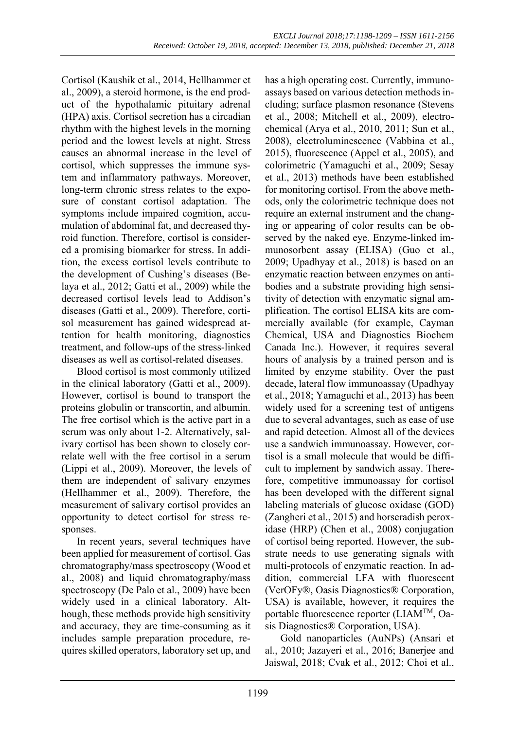Cortisol (Kaushik et al., 2014, Hellhammer et al., 2009), a steroid hormone, is the end product of the hypothalamic pituitary adrenal (HPA) axis. Cortisol secretion has a circadian rhythm with the highest levels in the morning period and the lowest levels at night. Stress causes an abnormal increase in the level of cortisol, which suppresses the immune system and inflammatory pathways. Moreover, long-term chronic stress relates to the exposure of constant cortisol adaptation. The symptoms include impaired cognition, accumulation of abdominal fat, and decreased thyroid function. Therefore, cortisol is considered a promising biomarker for stress. In addition, the excess cortisol levels contribute to the development of Cushing's diseases (Belaya et al., 2012; Gatti et al., 2009) while the decreased cortisol levels lead to Addison's diseases (Gatti et al., 2009). Therefore, cortisol measurement has gained widespread attention for health monitoring, diagnostics treatment, and follow-ups of the stress-linked diseases as well as cortisol-related diseases.

Blood cortisol is most commonly utilized in the clinical laboratory (Gatti et al., 2009). However, cortisol is bound to transport the proteins globulin or transcortin, and albumin. The free cortisol which is the active part in a serum was only about 1-2. Alternatively, salivary cortisol has been shown to closely correlate well with the free cortisol in a serum (Lippi et al., 2009). Moreover, the levels of them are independent of salivary enzymes (Hellhammer et al., 2009). Therefore, the measurement of salivary cortisol provides an opportunity to detect cortisol for stress responses.

In recent years, several techniques have been applied for measurement of cortisol. Gas chromatography/mass spectroscopy (Wood et al., 2008) and liquid chromatography/mass spectroscopy (De Palo et al., 2009) have been widely used in a clinical laboratory. Although, these methods provide high sensitivity and accuracy, they are time-consuming as it includes sample preparation procedure, requires skilled operators, laboratory set up, and has a high operating cost. Currently, immunoassays based on various detection methods including; surface plasmon resonance (Stevens et al., 2008; Mitchell et al., 2009), electrochemical (Arya et al., 2010, 2011; Sun et al., 2008), electroluminescence (Vabbina et al., 2015), fluorescence (Appel et al., 2005), and colorimetric (Yamaguchi et al., 2009; Sesay et al., 2013) methods have been established for monitoring cortisol. From the above methods, only the colorimetric technique does not require an external instrument and the changing or appearing of color results can be observed by the naked eye. Enzyme-linked immunosorbent assay (ELISA) (Guo et al., 2009; Upadhyay et al., 2018) is based on an enzymatic reaction between enzymes on antibodies and a substrate providing high sensitivity of detection with enzymatic signal amplification. The cortisol ELISA kits are commercially available (for example, Cayman Chemical, USA and Diagnostics Biochem Canada Inc.). However, it requires several hours of analysis by a trained person and is limited by enzyme stability. Over the past decade, lateral flow immunoassay (Upadhyay et al., 2018; Yamaguchi et al., 2013) has been widely used for a screening test of antigens due to several advantages, such as ease of use and rapid detection. Almost all of the devices use a sandwich immunoassay. However, cortisol is a small molecule that would be difficult to implement by sandwich assay. Therefore, competitive immunoassay for cortisol has been developed with the different signal labeling materials of glucose oxidase (GOD) (Zangheri et al., 2015) and horseradish peroxidase (HRP) (Chen et al., 2008) conjugation of cortisol being reported. However, the substrate needs to use generating signals with multi-protocols of enzymatic reaction. In addition, commercial LFA with fluorescent (VerOFy®, Oasis Diagnostics® Corporation, USA) is available, however, it requires the portable fluorescence reporter (LIAMTM, Oasis Diagnostics® Corporation, USA).

Gold nanoparticles (AuNPs) (Ansari et al., 2010; Jazayeri et al., 2016; Banerjee and Jaiswal, 2018; Cvak et al., 2012; Choi et al.,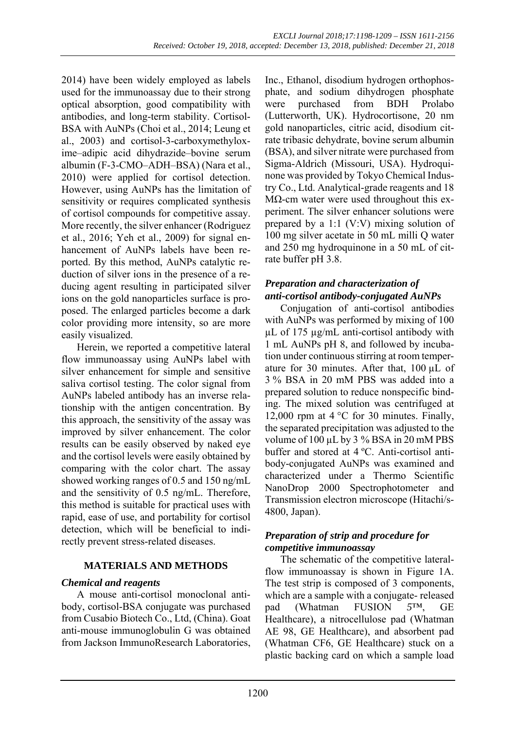2014) have been widely employed as labels used for the immunoassay due to their strong optical absorption, good compatibility with antibodies, and long-term stability. Cortisol-BSA with AuNPs (Choi et al., 2014; Leung et al., 2003) and cortisol-3-carboxymethyloxime–adipic acid dihydrazide–bovine serum albumin (F-3-CMO–ADH–BSA) (Nara et al., 2010) were applied for cortisol detection. However, using AuNPs has the limitation of sensitivity or requires complicated synthesis of cortisol compounds for competitive assay. More recently, the silver enhancer (Rodriguez et al., 2016; Yeh et al., 2009) for signal enhancement of AuNPs labels have been reported. By this method, AuNPs catalytic reduction of silver ions in the presence of a reducing agent resulting in participated silver ions on the gold nanoparticles surface is proposed. The enlarged particles become a dark color providing more intensity, so are more easily visualized.

Herein, we reported a competitive lateral flow immunoassay using AuNPs label with silver enhancement for simple and sensitive saliva cortisol testing. The color signal from AuNPs labeled antibody has an inverse relationship with the antigen concentration. By this approach, the sensitivity of the assay was improved by silver enhancement. The color results can be easily observed by naked eye and the cortisol levels were easily obtained by comparing with the color chart. The assay showed working ranges of 0.5 and 150 ng/mL and the sensitivity of 0.5 ng/mL. Therefore, this method is suitable for practical uses with rapid, ease of use, and portability for cortisol detection, which will be beneficial to indirectly prevent stress-related diseases.

# **MATERIALS AND METHODS**

#### *Chemical and reagents*

A mouse anti-cortisol monoclonal antibody, cortisol-BSA conjugate was purchased from Cusabio Biotech Co., Ltd, (China). Goat anti-mouse immunoglobulin G was obtained from Jackson ImmunoResearch Laboratories,

Inc., Ethanol, disodium hydrogen orthophosphate, and sodium dihydrogen phosphate were purchased from BDH Prolabo (Lutterworth, UK). Hydrocortisone, 20 nm gold nanoparticles, citric acid, disodium citrate tribasic dehydrate, bovine serum albumin (BSA), and silver nitrate were purchased from Sigma-Aldrich (Missouri, USA). Hydroquinone was provided by Tokyo Chemical Industry Co., Ltd. Analytical-grade reagents and 18 M $\Omega$ -cm water were used throughout this experiment. The silver enhancer solutions were prepared by a 1:1 (V:V) mixing solution of 100 mg silver acetate in 50 mL milli Q water and 250 mg hydroquinone in a 50 mL of citrate buffer pH 3.8.

# *Preparation and characterization of anti***-***cortisol antibody***-***conjugated AuNPs*

Conjugation of anti-cortisol antibodies with AuNPs was performed by mixing of 100 µL of 175 µg/mL anti-cortisol antibody with 1 mL AuNPs pH 8, and followed by incubation under continuous stirring at room temperature for 30 minutes. After that, 100 µL of 3 % BSA in 20 mM PBS was added into a prepared solution to reduce nonspecific binding. The mixed solution was centrifuged at 12,000 rpm at 4 °C for 30 minutes. Finally, the separated precipitation was adjusted to the volume of 100 µL by 3 % BSA in 20 mM PBS buffer and stored at 4 ºC. Anti-cortisol antibody-conjugated AuNPs was examined and characterized under a Thermo Scientific NanoDrop 2000 Spectrophotometer and Transmission electron microscope (Hitachi/s-4800, Japan).

#### *Preparation of strip and procedure for competitive immunoassay*

The schematic of the competitive lateralflow immunoassay is shown in Figure 1A. The test strip is composed of 3 components, which are a sample with a conjugate- released pad (Whatman FUSION *5*™, GE Healthcare), a nitrocellulose pad (Whatman AE 98, GE Healthcare), and absorbent pad (Whatman CF6, GE Healthcare) stuck on a plastic backing card on which a sample load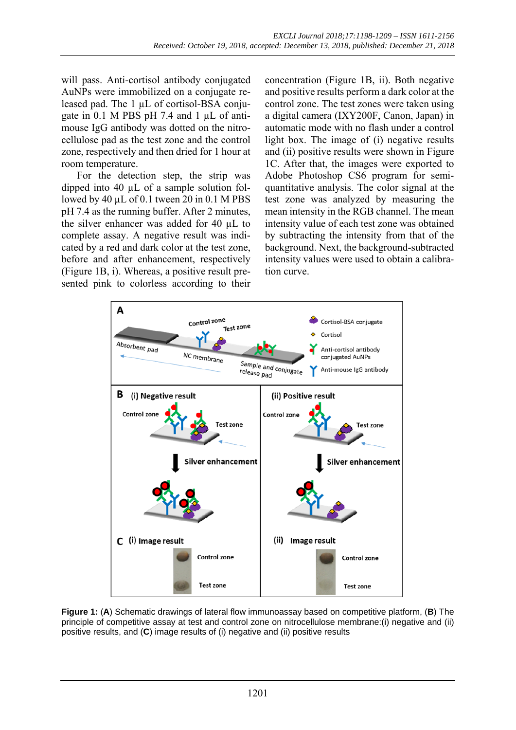will pass. Anti-cortisol antibody conjugated AuNPs were immobilized on a conjugate released pad. The 1 µL of cortisol-BSA conjugate in 0.1 M PBS pH 7.4 and 1 µL of antimouse IgG antibody was dotted on the nitrocellulose pad as the test zone and the control zone, respectively and then dried for 1 hour at room temperature.

For the detection step, the strip was dipped into 40 µL of a sample solution followed by 40  $\mu$ L of 0.1 tween 20 in 0.1 M PBS pH 7.4 as the running buffer. After 2 minutes, the silver enhancer was added for 40 µL to complete assay. A negative result was indicated by a red and dark color at the test zone, before and after enhancement, respectively (Figure 1B, i). Whereas, a positive result presented pink to colorless according to their concentration (Figure 1B, ii). Both negative and positive results perform a dark color at the control zone. The test zones were taken using a digital camera (IXY200F, Canon, Japan) in automatic mode with no flash under a control light box. The image of (i) negative results and (ii) positive results were shown in Figure 1C. After that, the images were exported to Adobe Photoshop CS6 program for semiquantitative analysis. The color signal at the test zone was analyzed by measuring the mean intensity in the RGB channel. The mean intensity value of each test zone was obtained by subtracting the intensity from that of the background. Next, the background-subtracted intensity values were used to obtain a calibration curve.



**Figure 1:** (**A**) Schematic drawings of lateral flow immunoassay based on competitive platform, (**B**) The principle of competitive assay at test and control zone on nitrocellulose membrane:(i) negative and (ii) positive results, and (**C**) image results of (i) negative and (ii) positive results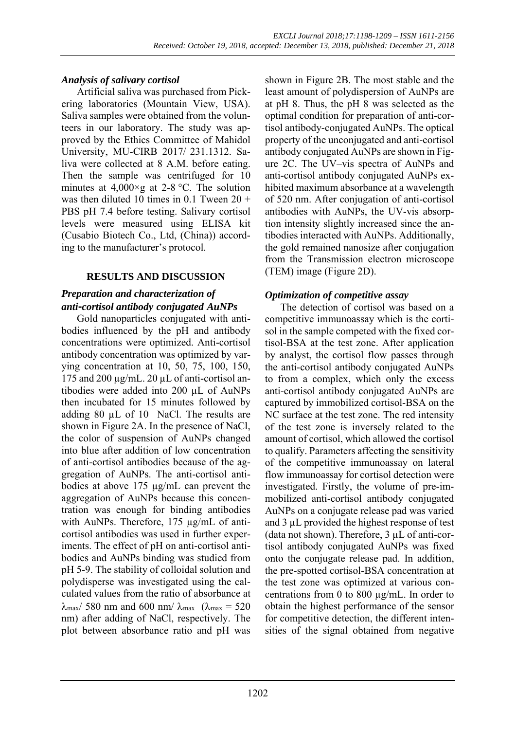# *Analysis of salivary cortisol*

Artificial saliva was purchased from Pickering laboratories (Mountain View, USA). Saliva samples were obtained from the volunteers in our laboratory. The study was approved by the Ethics Committee of Mahidol University, MU-CIRB 2017/ 231.1312. Saliva were collected at 8 A.M. before eating. Then the sample was centrifuged for 10 minutes at  $4,000 \times g$  at 2-8 °C. The solution was then diluted 10 times in  $0.1$  Tween  $20 +$ PBS pH 7.4 before testing. Salivary cortisol levels were measured using ELISA kit (Cusabio Biotech Co., Ltd, (China)) according to the manufacturer's protocol.

# **RESULTS AND DISCUSSION**

# *Preparation and characterization of anti***-***cortisol antibody conjugated AuNPs*

Gold nanoparticles conjugated with antibodies influenced by the pH and antibody concentrations were optimized. Anti-cortisol antibody concentration was optimized by varying concentration at 10, 50, 75, 100, 150, 175 and 200  $\mu$ g/mL. 20  $\mu$ L of anti-cortisol antibodies were added into 200 µL of AuNPs then incubated for 15 minutes followed by adding 80 µL of 10 NaCl. The results are shown in Figure 2A. In the presence of NaCl, the color of suspension of AuNPs changed into blue after addition of low concentration of anti-cortisol antibodies because of the aggregation of AuNPs. The anti-cortisol antibodies at above 175 µg/mL can prevent the aggregation of AuNPs because this concentration was enough for binding antibodies with AuNPs. Therefore, 175 µg/mL of anticortisol antibodies was used in further experiments. The effect of pH on anti-cortisol antibodies and AuNPs binding was studied from pH 5-9. The stability of colloidal solution and polydisperse was investigated using the calculated values from the ratio of absorbance at  $\lambda_{\text{max}}$ / 580 nm and 600 nm/ $\lambda_{\text{max}}$  ( $\lambda_{\text{max}}$  = 520 nm) after adding of NaCl, respectively. The plot between absorbance ratio and pH was

shown in Figure 2B. The most stable and the least amount of polydispersion of AuNPs are at pH 8. Thus, the pH 8 was selected as the optimal condition for preparation of anti-cortisol antibody-conjugated AuNPs. The optical property of the unconjugated and anti-cortisol antibody conjugated AuNPs are shown in Figure 2C. The UV–vis spectra of AuNPs and anti-cortisol antibody conjugated AuNPs exhibited maximum absorbance at a wavelength of 520 nm. After conjugation of anti-cortisol antibodies with AuNPs, the UV-vis absorption intensity slightly increased since the antibodies interacted with AuNPs. Additionally, the gold remained nanosize after conjugation from the Transmission electron microscope (TEM) image (Figure 2D).

# *Optimization of competitive assay*

The detection of cortisol was based on a competitive immunoassay which is the cortisol in the sample competed with the fixed cortisol-BSA at the test zone. After application by analyst, the cortisol flow passes through the anti-cortisol antibody conjugated AuNPs to from a complex, which only the excess anti-cortisol antibody conjugated AuNPs are captured by immobilized cortisol-BSA on the NC surface at the test zone. The red intensity of the test zone is inversely related to the amount of cortisol, which allowed the cortisol to qualify. Parameters affecting the sensitivity of the competitive immunoassay on lateral flow immunoassay for cortisol detection were investigated. Firstly, the volume of pre-immobilized anti-cortisol antibody conjugated AuNPs on a conjugate release pad was varied and 3 µL provided the highest response of test (data not shown). Therefore, 3 µL of anti-cortisol antibody conjugated AuNPs was fixed onto the conjugate release pad. In addition, the pre-spotted cortisol-BSA concentration at the test zone was optimized at various concentrations from 0 to 800 µg/mL. In order to obtain the highest performance of the sensor for competitive detection, the different intensities of the signal obtained from negative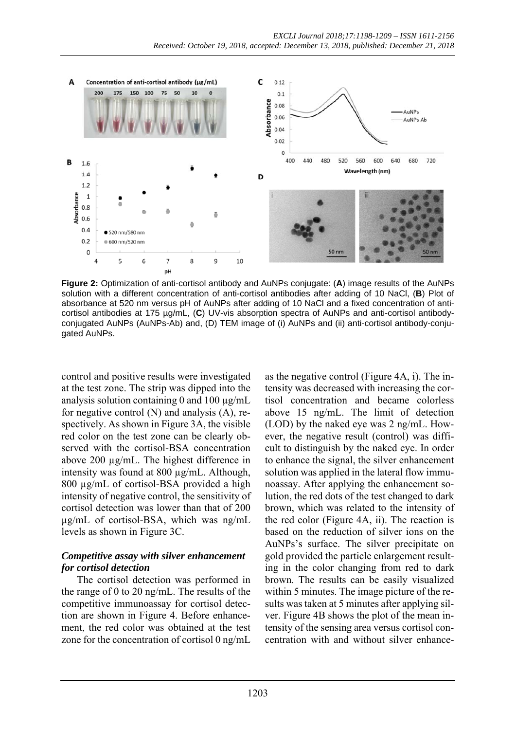

**Figure 2:** Optimization of anti-cortisol antibody and AuNPs conjugate: (**A**) image results of the AuNPs solution with a different concentration of anti-cortisol antibodies after adding of 10 NaCl, (**B**) Plot of absorbance at 520 nm versus pH of AuNPs after adding of 10 NaCl and a fixed concentration of anticortisol antibodies at 175 µg/mL, (**C**) UV-vis absorption spectra of AuNPs and anti-cortisol antibodyconjugated AuNPs (AuNPs-Ab) and, (D) TEM image of (i) AuNPs and (ii) anti-cortisol antibody-conjugated AuNPs.

control and positive results were investigated at the test zone. The strip was dipped into the analysis solution containing 0 and 100  $\mu$ g/mL for negative control (N) and analysis (A), respectively. As shown in Figure 3A, the visible red color on the test zone can be clearly observed with the cortisol-BSA concentration above 200 µg/mL. The highest difference in intensity was found at 800 µg/mL. Although, 800 µg/mL of cortisol-BSA provided a high intensity of negative control, the sensitivity of cortisol detection was lower than that of 200 µg/mL of cortisol-BSA, which was ng/mL levels as shown in Figure 3C.

#### *Competitive assay with silver enhancement for cortisol detection*

The cortisol detection was performed in the range of 0 to 20 ng/mL. The results of the competitive immunoassay for cortisol detection are shown in Figure 4. Before enhancement, the red color was obtained at the test zone for the concentration of cortisol 0 ng/mL

as the negative control (Figure 4A, i). The intensity was decreased with increasing the cortisol concentration and became colorless above 15 ng/mL. The limit of detection (LOD) by the naked eye was 2 ng/mL. However, the negative result (control) was difficult to distinguish by the naked eye. In order to enhance the signal, the silver enhancement solution was applied in the lateral flow immunoassay. After applying the enhancement solution, the red dots of the test changed to dark brown, which was related to the intensity of the red color (Figure 4A, ii). The reaction is based on the reduction of silver ions on the AuNPs's surface. The silver precipitate on gold provided the particle enlargement resulting in the color changing from red to dark brown. The results can be easily visualized within 5 minutes. The image picture of the results was taken at 5 minutes after applying silver. Figure 4B shows the plot of the mean intensity of the sensing area versus cortisol concentration with and without silver enhance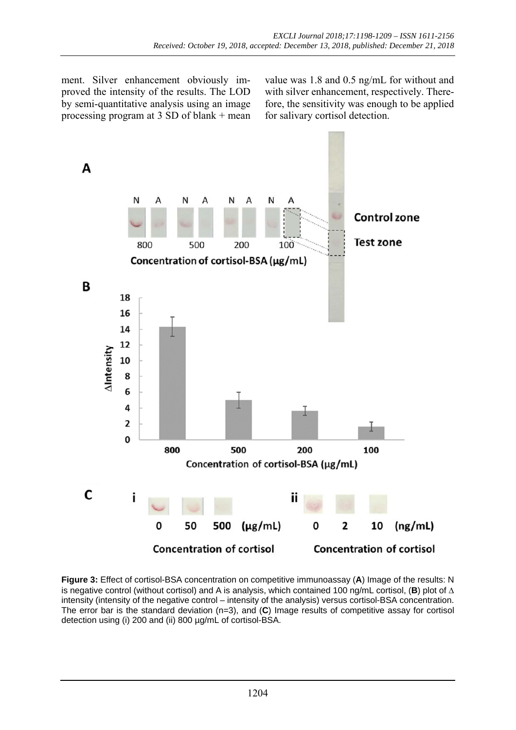ment. Silver enhancement obviously improved the intensity of the results. The LOD by semi-quantitative analysis using an image processing program at 3 SD of blank + mean value was 1.8 and 0.5 ng/mL for without and with silver enhancement, respectively. Therefore, the sensitivity was enough to be applied for salivary cortisol detection.



**Figure 3:** Effect of cortisol-BSA concentration on competitive immunoassay (**A**) Image of the results: N is negative control (without cortisol) and A is analysis, which contained 100 ng/mL cortisol, (**B**) plot of  $\Delta$ intensity (intensity of the negative control – intensity of the analysis) versus cortisol-BSA concentration. The error bar is the standard deviation (n=3), and (**C**) Image results of competitive assay for cortisol detection using (i) 200 and (ii) 800 µg/mL of cortisol-BSA.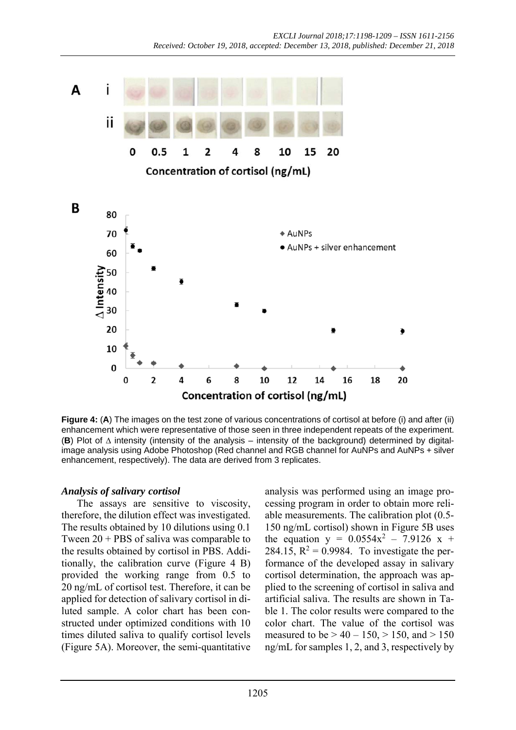

**Figure 4: (A)** The images on the test zone of various concentrations of cortisol at before (i) and after (ii) enhancement which were representative of those seen in three independent repeats of the experiment. **(B)** Plot of  $\triangle$  intensity (intensity of the analysis – intensity of the background) determined by digitalimage analysis using Adobe Photoshop (Red channel and RGB channel for AuNPs and AuNPs + silver enhancement, respectively). The data are derived from 3 replicates.

#### *Analysis of salivary cortisol*

The assays are sensitive to viscosity, therefore, the dilution effect was investigated. The results obtained by 10 dilutions using 0.1 Tween 20 + PBS of saliva was comparable to the results obtained by cortisol in PBS. Additionally, the calibration curve (Figure 4 B) provided the working range from 0.5 to 20 ng/mL of cortisol test. Therefore, it can be applied for detection of salivary cortisol in diluted sample. A color chart has been constructed under optimized conditions with 10 times diluted saliva to qualify cortisol levels (Figure 5A). Moreover, the semi-quantitative

analysis was performed using an image processing program in order to obtain more reliable measurements. The calibration plot (0.5- 150 ng/mL cortisol) shown in Figure 5B uses the equation  $y = 0.0554x^2 - 7.9126 x +$ 284.15,  $R^2 = 0.9984$ . To investigate the performance of the developed assay in salivary cortisol determination, the approach was applied to the screening of cortisol in saliva and artificial saliva. The results are shown in Table 1. The color results were compared to the color chart. The value of the cortisol was measured to be  $> 40 - 150$ ,  $> 150$ , and  $> 150$ ng/mL for samples 1, 2, and 3, respectively by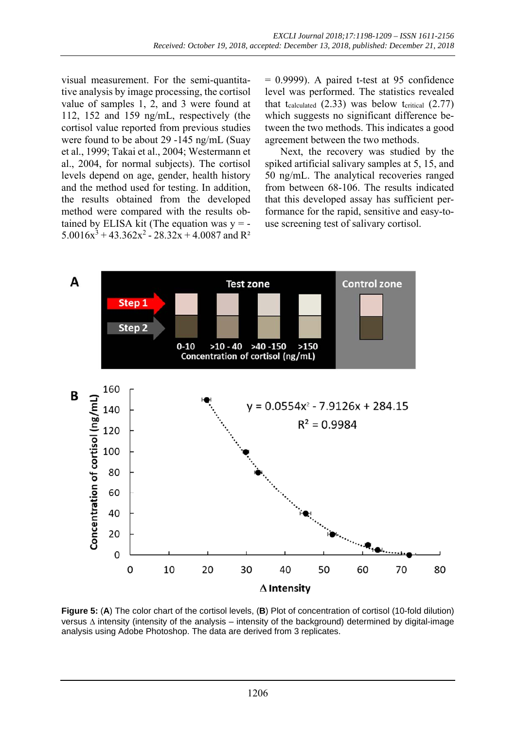visual measurement. For the semi-quantitative analysis by image processing, the cortisol value of samples 1, 2, and 3 were found at 112, 152 and 159 ng/mL, respectively (the cortisol value reported from previous studies were found to be about 29 -145 ng/mL (Suay et al., 1999; Takai et al., 2004; Westermann et al., 2004, for normal subjects). The cortisol levels depend on age, gender, health history and the method used for testing. In addition, the results obtained from the developed method were compared with the results obtained by ELISA kit (The equation was  $y = 5.0016x^3 + 43.362x^2 - 28.32x + 4.0087$  and R<sup>2</sup>  $= 0.9999$ . A paired t-test at 95 confidence level was performed. The statistics revealed that tcalculated  $(2.33)$  was below tcritical  $(2.77)$ which suggests no significant difference between the two methods. This indicates a good agreement between the two methods.

Next, the recovery was studied by the spiked artificial salivary samples at 5, 15, and 50 ng/mL. The analytical recoveries ranged from between 68-106. The results indicated that this developed assay has sufficient performance for the rapid, sensitive and easy-touse screening test of salivary cortisol.



**Figure 5:** (**A**) The color chart of the cortisol levels, (**B**) Plot of concentration of cortisol (10-fold dilution) versus  $\Delta$  intensity (intensity of the analysis – intensity of the background) determined by digital-image analysis using Adobe Photoshop. The data are derived from 3 replicates.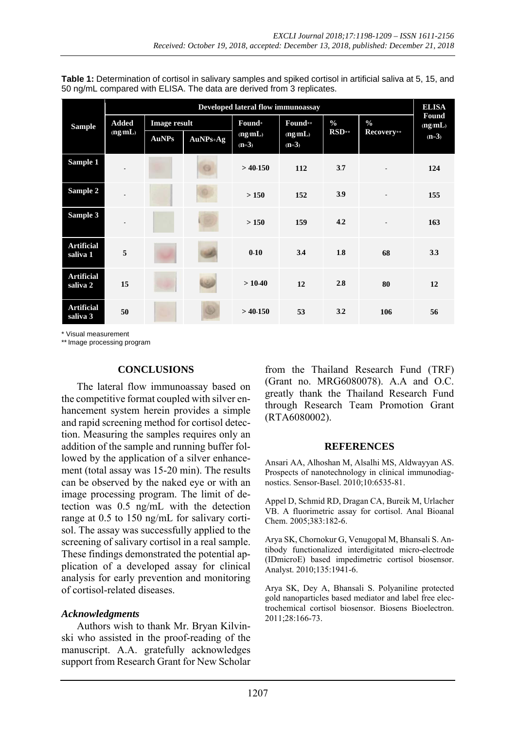| Table 1: Determination of cortisol in salivary samples and spiked cortisol in artificial saliva at 5, 15, and |  |
|---------------------------------------------------------------------------------------------------------------|--|
| 50 ng/mL compared with ELISA. The data are derived from 3 replicates.                                         |  |

|                               | Developed lateral flow immunoassay |                     |            |                    |                    |               |                          | <b>ELISA</b>     |
|-------------------------------|------------------------------------|---------------------|------------|--------------------|--------------------|---------------|--------------------------|------------------|
| <b>Sample</b>                 | <b>Added</b>                       | <b>Image result</b> |            | Found*             | Found**            | $\frac{0}{0}$ | $\frac{0}{0}$            | Found<br>(ng/mL) |
|                               | (ng/mL)                            | <b>AuNPs</b>        | $AuNPs+Ag$ | (ng/mL)<br>$(n=3)$ | (ng/mL)<br>$(n=3)$ | $RSD**$       | Recovery**               | $(n=3)$          |
| Sample 1                      |                                    |                     | G          | $>$ 40-150         | 112                | 3.7           | $\overline{\phantom{a}}$ | 124              |
| Sample 2                      |                                    |                     |            | > 150              | 152                | 3.9           |                          | 155              |
| Sample 3                      |                                    |                     |            | > 150              | 159                | 4.2           | $\overline{\phantom{a}}$ | 163              |
| <b>Artificial</b><br>saliva 1 | 5                                  |                     |            | $0-10$             | 3.4                | 1.8           | 68                       | 3.3              |
| <b>Artificial</b><br>saliva 2 | 15                                 |                     |            | $>10-40$           | 12                 | 2.8           | 80                       | 12               |
| <b>Artificial</b><br>saliva 3 | 50                                 |                     |            | $>$ 40-150         | 53                 | 3.2           | 106                      | 56               |

\* Visual measurement

\*\* Image processing program

#### **CONCLUSIONS**

The lateral flow immunoassay based on the competitive format coupled with silver enhancement system herein provides a simple and rapid screening method for cortisol detection. Measuring the samples requires only an addition of the sample and running buffer followed by the application of a silver enhancement (total assay was 15-20 min). The results can be observed by the naked eye or with an image processing program. The limit of detection was 0.5 ng/mL with the detection range at 0.5 to 150 ng/mL for salivary cortisol. The assay was successfully applied to the screening of salivary cortisol in a real sample. These findings demonstrated the potential application of a developed assay for clinical analysis for early prevention and monitoring of cortisol-related diseases.

#### *Acknowledgments*

Authors wish to thank Mr. Bryan Kilvinski who assisted in the proof-reading of the manuscript. A.A. gratefully acknowledges support from Research Grant for New Scholar from the Thailand Research Fund (TRF) (Grant no. MRG6080078). A.A and O.C. greatly thank the Thailand Research Fund through Research Team Promotion Grant (RTA6080002).

#### **REFERENCES**

Ansari AA, Alhoshan M, Alsalhi MS, Aldwayyan AS. Prospects of nanotechnology in clinical immunodiagnostics. Sensor-Basel. 2010;10:6535-81.

Appel D, Schmid RD, Dragan CA, Bureik M, Urlacher VB. A fluorimetric assay for cortisol. Anal Bioanal Chem. 2005;383:182-6.

Arya SK, Chornokur G, Venugopal M, Bhansali S. Antibody functionalized interdigitated micro-electrode (IDmicroE) based impedimetric cortisol biosensor. Analyst. 2010;135:1941-6.

Arya SK, Dey A, Bhansali S. Polyaniline protected gold nanoparticles based mediator and label free electrochemical cortisol biosensor. Biosens Bioelectron. 2011;28:166-73.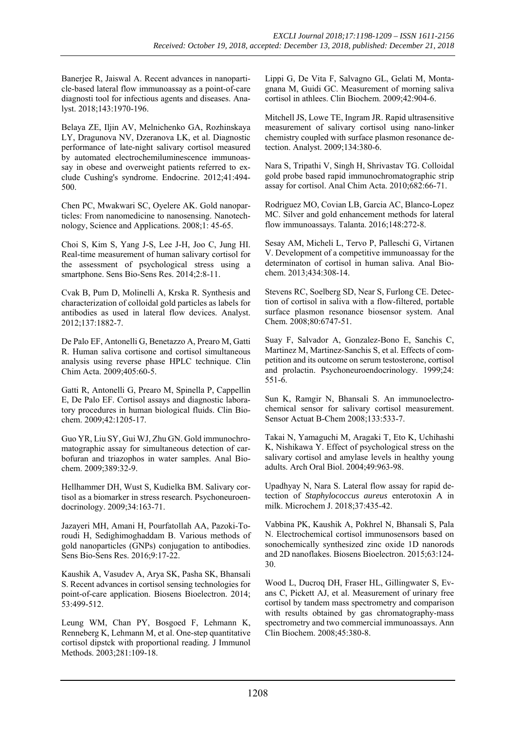Banerjee R, Jaiswal A. Recent advances in nanoparticle-based lateral flow immunoassay as a point-of-care diagnosti tool for infectious agents and diseases. Analyst. 2018;143:1970-196.

Belaya ZE, Iljin AV, Melnichenko GA, Rozhinskaya LY, Dragunova NV, Dzeranova LK, et al. Diagnostic performance of late-night salivary cortisol measured by automated electrochemiluminescence immunoassay in obese and overweight patients referred to exclude Cushing's syndrome. Endocrine. 2012;41:494- 500.

Chen PC, Mwakwari SC, Oyelere AK. Gold nanoparticles: From nanomedicine to nanosensing. Nanotechnology, Science and Applications. 2008;1: 45-65.

Choi S, Kim S, Yang J-S, Lee J-H, Joo C, Jung HI. Real-time measurement of human salivary cortisol for the assessment of psychological stress using a smartphone. Sens Bio-Sens Res. 2014;2:8-11.

Cvak B, Pum D, Molinelli A, Krska R. Synthesis and characterization of colloidal gold particles as labels for antibodies as used in lateral flow devices. Analyst. 2012;137:1882-7.

De Palo EF, Antonelli G, Benetazzo A, Prearo M, Gatti R. Human saliva cortisone and cortisol simultaneous analysis using reverse phase HPLC technique. Clin Chim Acta. 2009;405:60-5.

Gatti R, Antonelli G, Prearo M, Spinella P, Cappellin E, De Palo EF. Cortisol assays and diagnostic laboratory procedures in human biological fluids. Clin Biochem. 2009;42:1205-17.

Guo YR, Liu SY, Gui WJ, Zhu GN. Gold immunochromatographic assay for simultaneous detection of carbofuran and triazophos in water samples. Anal Biochem. 2009;389:32-9.

Hellhammer DH, Wust S, Kudielka BM. Salivary cortisol as a biomarker in stress research. Psychoneuroendocrinology. 2009;34:163-71.

Jazayeri MH, Amani H, Pourfatollah AA, Pazoki-Toroudi H, Sedighimoghaddam B. Various methods of gold nanoparticles (GNPs) conjugation to antibodies. Sens Bio-Sens Res. 2016;9:17-22.

Kaushik A, Vasudev A, Arya SK, Pasha SK, Bhansali S. Recent advances in cortisol sensing technologies for point-of-care application. Biosens Bioelectron. 2014; 53:499-512.

Leung WM, Chan PY, Bosgoed F, Lehmann K, Renneberg K, Lehmann M, et al. One-step quantitative cortisol dipstck with proportional reading. J Immunol Methods. 2003;281:109-18.

Lippi G, De Vita F, Salvagno GL, Gelati M, Montagnana M, Guidi GC. Measurement of morning saliva cortisol in athlees. Clin Biochem. 2009;42:904-6.

Mitchell JS, Lowe TE, Ingram JR. Rapid ultrasensitive measurement of salivary cortisol using nano-linker chemistry coupled with surface plasmon resonance detection. Analyst. 2009;134:380-6.

Nara S, Tripathi V, Singh H, Shrivastav TG. Colloidal gold probe based rapid immunochromatographic strip assay for cortisol. Anal Chim Acta. 2010;682:66-71.

Rodriguez MO, Covian LB, Garcia AC, Blanco-Lopez MC. Silver and gold enhancement methods for lateral flow immunoassays. Talanta. 2016;148:272-8.

Sesay AM, Micheli L, Tervo P, Palleschi G, Virtanen V. Development of a competitive immunoassay for the determinaton of cortisol in human saliva. Anal Biochem. 2013;434:308-14.

Stevens RC, Soelberg SD, Near S, Furlong CE. Detection of cortisol in saliva with a flow-filtered, portable surface plasmon resonance biosensor system. Anal Chem. 2008;80:6747-51.

Suay F, Salvador A, Gonzalez-Bono E, Sanchis C, Martinez M, Martinez-Sanchis S, et al. Effects of competition and its outcome on serum testosterone, cortisol and prolactin. Psychoneuroendocrinology. 1999;24: 551-6.

Sun K, Ramgir N, Bhansali S. An immunoelectrochemical sensor for salivary cortisol measurement. Sensor Actuat B-Chem 2008;133:533-7.

Takai N, Yamaguchi M, Aragaki T, Eto K, Uchihashi K, Nishikawa Y. Effect of psychological stress on the salivary cortisol and amylase levels in healthy young adults. Arch Oral Biol. 2004;49:963-98.

Upadhyay N, Nara S. Lateral flow assay for rapid detection of *Staphylococcus aureus* enterotoxin A in milk. Microchem J. 2018;37:435-42.

Vabbina PK, Kaushik A, Pokhrel N, Bhansali S, Pala N. Electrochemical cortisol immunosensors based on sonochemically synthesized zinc oxide 1D nanorods and 2D nanoflakes. Biosens Bioelectron. 2015;63:124- 30.

Wood L, Ducroq DH, Fraser HL, Gillingwater S, Evans C, Pickett AJ, et al. Measurement of urinary free cortisol by tandem mass spectrometry and comparison with results obtained by gas chromatography-mass spectrometry and two commercial immunoassays. Ann Clin Biochem. 2008;45:380-8.